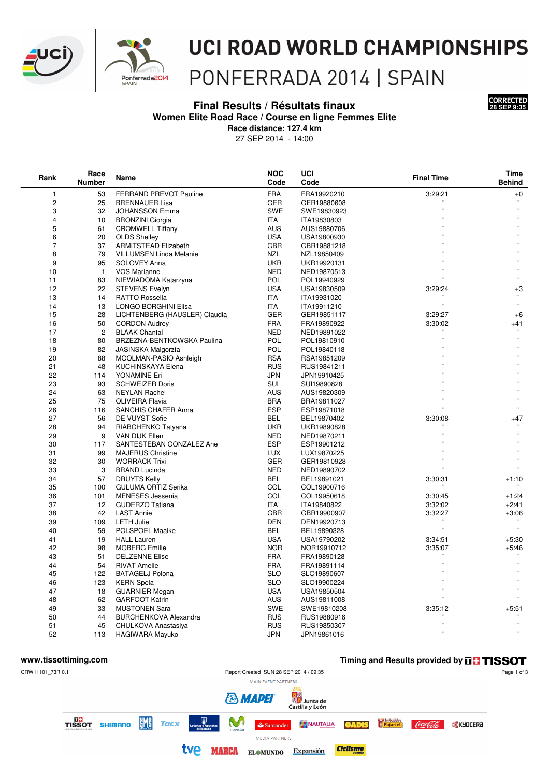



# **UCI ROAD WORLD CHAMPIONSHIPS**

## PONFERRADA 2014 | SPAIN

#### **Final Results / Résultats finaux 28 SEP 9:35 Women Elite Road Race / Course en ligne Femmes Elite**



**Race distance: 127.4 km**

27 SEP 2014 - 14:00

| Rank                    | Race           | Name                           | <b>NOC</b> | UCI         | <b>Final Time</b> | Time                    |
|-------------------------|----------------|--------------------------------|------------|-------------|-------------------|-------------------------|
|                         | <b>Number</b>  |                                | Code       | Code        |                   | <b>Behind</b>           |
| 1                       | 53             | FERRAND PREVOT Pauline         | <b>FRA</b> | FRA19920210 | 3:29:21           | $+0$                    |
| $\mathbf 2$             | 25             | <b>BRENNAUER Lisa</b>          | GER        | GER19880608 |                   | $\mathbf{u}$            |
| 3                       | 32             | <b>JOHANSSON Emma</b>          | <b>SWE</b> | SWE19830923 |                   |                         |
| $\overline{\mathbf{4}}$ | 10             | <b>BRONZINI Giorgia</b>        | <b>ITA</b> | ITA19830803 |                   |                         |
| 5                       | 61             | <b>CROMWELL Tiffany</b>        | <b>AUS</b> | AUS19880706 |                   |                         |
| 6                       | 20             | <b>OLDS Shelley</b>            | <b>USA</b> | USA19800930 |                   |                         |
| $\overline{7}$          | 37             | <b>ARMITSTEAD Elizabeth</b>    | <b>GBR</b> | GBR19881218 |                   |                         |
| 8                       | 79             | <b>VILLUMSEN Linda Melanie</b> | <b>NZL</b> | NZL19850409 |                   |                         |
| 9                       | 95             | SOLOVEY Anna                   | <b>UKR</b> | UKR19920131 |                   |                         |
| 10                      | $\mathbf{1}$   | <b>VOS Marianne</b>            | <b>NED</b> | NED19870513 |                   |                         |
| 11                      | 83             | NIEWIADOMA Katarzyna           | <b>POL</b> | POL19940929 |                   |                         |
| 12                      | 22             | <b>STEVENS Evelyn</b>          | <b>USA</b> | USA19830509 | 3:29:24           | $+3$                    |
| 13                      | 14             | <b>RATTO Rossella</b>          | ITA        | ITA19931020 |                   | $\mathbf{u}$            |
| 14                      | 13             | LONGO BORGHINI Elisa           | ITA        | ITA19911210 |                   | $\mathbf{u}$            |
| 15                      | 28             | LICHTENBERG (HAUSLER) Claudia  | <b>GER</b> | GER19851117 | 3:29:27           | $+6$                    |
| 16                      | 50             | <b>CORDON Audrey</b>           | <b>FRA</b> | FRA19890922 | 3:30:02           | $+41$                   |
| 17                      | $\overline{c}$ | <b>BLAAK Chantal</b>           | <b>NED</b> | NED19891022 |                   |                         |
| 18                      | 80             | BRZEZNA-BENTKOWSKA Paulina     | <b>POL</b> | POL19810910 |                   |                         |
| 19                      | 82             | <b>JASINSKA Malgorzta</b>      | <b>POL</b> | POL19840118 |                   |                         |
| 20                      | 88             | MOOLMAN-PASIO Ashleigh         | <b>RSA</b> | RSA19851209 |                   |                         |
| 21                      | 48             | KUCHINSKAYA Elena              | <b>RUS</b> | RUS19841211 |                   |                         |
| 22                      | 114            | YONAMINE Eri                   | <b>JPN</b> | JPN19910425 |                   |                         |
| 23                      | 93             | <b>SCHWEIZER Doris</b>         | SUI        | SUI19890828 |                   |                         |
| 24                      | 63             | <b>NEYLAN Rachel</b>           | <b>AUS</b> | AUS19820309 |                   |                         |
| 25                      | 75             | OLIVEIRA Flavia                | <b>BRA</b> | BRA19811027 |                   |                         |
| 26                      | 116            | <b>SANCHIS CHAFER Anna</b>     | <b>ESP</b> | ESP19871018 |                   |                         |
| 27                      | 56             | DE VUYST Sofie                 | <b>BEL</b> | BEL19870402 | 3:30:08           | $+47$                   |
| 28                      | 94             | RIABCHENKO Tatyana             | <b>UKR</b> | UKR19890828 |                   |                         |
| 29                      | 9              | VAN DIJK Ellen                 | <b>NED</b> | NED19870211 |                   |                         |
| 30                      | 117            | SANTESTEBAN GONZALEZ Ane       | <b>ESP</b> | ESP19901212 |                   |                         |
| 31                      | 99             | <b>MAJERUS Christine</b>       | <b>LUX</b> | LUX19870225 |                   |                         |
| 32                      | 30             | <b>WORRACK Trixi</b>           | <b>GER</b> | GER19810928 |                   |                         |
| 33                      | 3              | <b>BRAND Lucinda</b>           | <b>NED</b> | NED19890702 |                   |                         |
| 34                      | 57             | <b>DRUYTS Kelly</b>            | <b>BEL</b> | BEL19891021 | 3:30:31           | $+1:10$                 |
| 35                      | 100            | <b>GULUMA ORTIZ Serika</b>     | COL        | COL19900716 |                   |                         |
| 36                      | 101            | <b>MENESES</b> Jessenia        | COL        | COL19950618 | 3:30:45           | $+1:24$                 |
| 37                      | 12             | <b>GUDERZO Tatiana</b>         | ITA        | ITA19840822 | 3:32:02           | $+2:41$                 |
| 38                      | 42             | <b>LAST Annie</b>              | <b>GBR</b> | GBR19900907 | 3:32:27           | $+3:06$<br>$\mathbf{u}$ |
| 39                      | 109            | <b>LETH Julie</b>              | <b>DEN</b> | DEN19920713 | Ħ                 |                         |
| 40                      | 59             | POLSPOEL Maaike                | <b>BEL</b> | BEL19890328 |                   |                         |
| 41                      | 19             | <b>HALL Lauren</b>             | <b>USA</b> | USA19790202 | 3:34:51           | $+5:30$                 |
| 42                      | 98             | <b>MOBERG</b> Emilie           | <b>NOR</b> | NOR19910712 | 3:35:07           | $+5:46$                 |
| 43                      | 51             | <b>DELZENNE Elise</b>          | <b>FRA</b> | FRA19890128 |                   |                         |
| 44                      | 54             | <b>RIVAT Amelie</b>            | <b>FRA</b> | FRA19891114 |                   |                         |
| 45                      | 122            | <b>BATAGELJ Polona</b>         | <b>SLO</b> | SLO19890607 |                   |                         |
| 46                      | 123            | <b>KERN</b> Spela              | <b>SLO</b> | SLO19900224 |                   |                         |
| 47                      | 18             | <b>GUARNIER Megan</b>          | <b>USA</b> | USA19850504 |                   |                         |
| 48                      | 62             | <b>GARFOOT Katrin</b>          | AUS        | AUS19811008 |                   |                         |
| 49                      | 33             | <b>MUSTONEN Sara</b>           | <b>SWE</b> | SWE19810208 | 3:35:12           | +5:51                   |
| 50                      | 44             | <b>BURCHENKOVA Alexandra</b>   | <b>RUS</b> | RUS19880916 |                   | $\mathbf{u}$            |
| 51                      | 45             | CHULKOVA Anastasiya            | <b>RUS</b> | RUS19850307 | Ħ                 |                         |
| 52                      | 113            | <b>HAGIWARA Mayuko</b>         | <b>JPN</b> | JPN19861016 |                   |                         |

#### **WWW.tissottiming.com Timing and Results provided by THISSOT** CRW11101\_73R 0.1 Report Created SUN 28 SEP 2014 / 09:35 Page 1 of 3 MAIN EVENT PARTNERS <mark>日</mark><br>※ Junta de<br>Castilla y León **& MADEI DO**<br>TISSOT SHIMANO **EME Tacx** M NAUTALIA **Pajariel GADIS C<mark>X</mark> KYOCERƏ**  $\triangle$  Santander Coca Cola **MEDIA PARTNERS** tve MARCA EL@MUNDO Expansión **Ciclismo**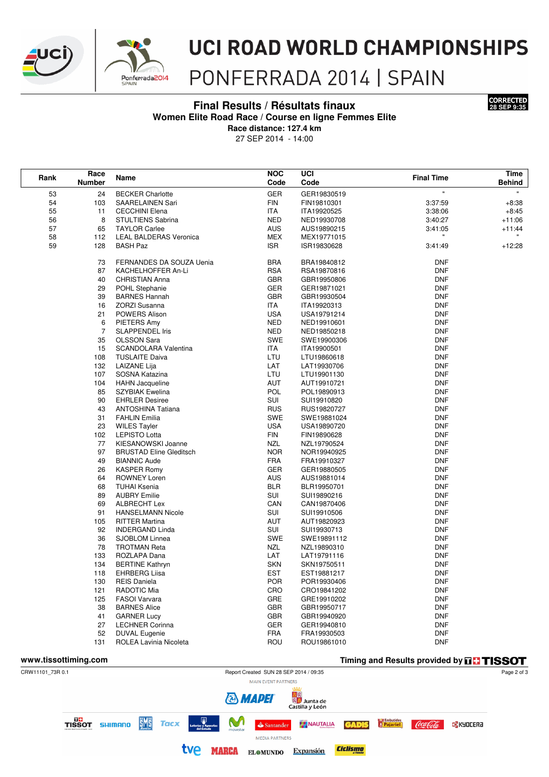



# **UCI ROAD WORLD CHAMPIONSHIPS**

## PONFERRADA 2014 | SPAIN

#### Final Results / Résultats finaux



Women Elite Road Race / Course en ligne Femmes Elite

Race distance: 127.4 km

27 SEP 2014 - 14:00

| Rank                                                              | Race<br><b>Number</b> | Name                                        | <b>NOC</b><br>Code | UCI<br>Code                | <b>Final Time</b>        | Time<br><b>Behind</b> |
|-------------------------------------------------------------------|-----------------------|---------------------------------------------|--------------------|----------------------------|--------------------------|-----------------------|
|                                                                   |                       |                                             |                    |                            |                          |                       |
| 53                                                                | 24                    | <b>BECKER Charlotte</b>                     | <b>GER</b>         | GER19830519                | Ħ                        | $\mathbf{H}^{\pm}$    |
| 54                                                                | 103                   | SAARELAINEN Sari                            | <b>FIN</b>         | FIN19810301                | 3:37:59                  | $+8:38$               |
| 55                                                                | 11                    | <b>CECCHINI Elena</b>                       | ITA                | ITA19920525                | 3:38:06                  | $+8:45$               |
| 56                                                                | 8                     | STULTIENS Sabrina                           | <b>NED</b>         | NED19930708                | 3:40:27                  | $+11:06$              |
| 57                                                                | 65                    | <b>TAYLOR Carlee</b>                        | AUS                | AUS19890215                | 3:41:05                  | $+11:44$              |
| 58                                                                | 112                   | <b>LEAL BALDERAS Veronica</b>               | MEX                | MEX19771015                |                          |                       |
| 59                                                                | 128                   | <b>BASH Paz</b>                             | <b>ISR</b>         | ISR19830628                | 3:41:49                  | $+12:28$              |
|                                                                   | 73                    | FERNANDES DA SOUZA Uenia                    | BRA                | BRA19840812                | <b>DNF</b>               |                       |
|                                                                   | 87                    | KACHELHOFFER An-Li                          | <b>RSA</b>         | RSA19870816                | <b>DNF</b>               |                       |
|                                                                   | 40                    | <b>CHRISTIAN Anna</b>                       | <b>GBR</b>         | GBR19950806                | <b>DNF</b>               |                       |
|                                                                   | 29                    | POHL Stephanie                              | <b>GER</b>         | GER19871021                | <b>DNF</b>               |                       |
|                                                                   | 39                    | <b>BARNES Hannah</b>                        | <b>GBR</b>         | GBR19930504                | <b>DNF</b>               |                       |
|                                                                   | 16                    | <b>ZORZI Susanna</b>                        | ITA                | ITA19920313                | <b>DNF</b>               |                       |
|                                                                   | 21                    | POWERS Alison                               | USA                | USA19791214                | DNF                      |                       |
|                                                                   | 6                     | PIETERS Amy                                 | <b>NED</b>         | NED19910601                | DNF                      |                       |
|                                                                   | $\overline{7}$        | <b>SLAPPENDEL Iris</b>                      | <b>NED</b>         | NED19850218                | <b>DNF</b>               |                       |
|                                                                   | 35                    | <b>OLSSON Sara</b>                          | SWE                | SWE19900306                | <b>DNF</b>               |                       |
|                                                                   | 15                    | SCANDOLARA Valentina                        | ITA                | ITA19900501                | DNF                      |                       |
|                                                                   | 108                   | <b>TUSLAITE Daiva</b>                       | LTU                | LTU19860618                | <b>DNF</b>               |                       |
|                                                                   | 132                   | LAIZANE Lija                                | LAT                | LAT19930706                | <b>DNF</b>               |                       |
|                                                                   | 107                   | SOSNA Katazina                              | LTU                | LTU19901130                | <b>DNF</b>               |                       |
|                                                                   | 104                   | <b>HAHN</b> Jacqueline                      | AUT                | AUT19910721                | DNF                      |                       |
|                                                                   | 85                    | <b>SZYBIAK Ewelina</b>                      | <b>POL</b>         | POL19890913                | <b>DNF</b>               |                       |
|                                                                   | 90                    | <b>EHRLER Desiree</b>                       | SUI                | SUI19910820                | <b>DNF</b>               |                       |
|                                                                   | 43                    | <b>ANTOSHINA Tatiana</b>                    | <b>RUS</b>         | RUS19820727                | <b>DNF</b>               |                       |
|                                                                   | 31                    | <b>FAHLIN Emilia</b>                        | SWE                | SWE19881024                | <b>DNF</b>               |                       |
|                                                                   | 23                    | <b>WILES Tayler</b>                         | <b>USA</b>         | USA19890720                | DNF                      |                       |
|                                                                   | 102                   | <b>LEPISTO Lotta</b>                        | FIN                | FIN19890628                | <b>DNF</b>               |                       |
|                                                                   | 77                    | KIESANOWSKI Joanne                          | NZL                | NZL19790524                | <b>DNF</b>               |                       |
|                                                                   | 97                    | <b>BRUSTAD Eline Gleditsch</b>              | <b>NOR</b>         | NOR19940925                | <b>DNF</b>               |                       |
|                                                                   | 49                    | <b>BIANNIC Aude</b>                         | <b>FRA</b>         | FRA19910327                | DNF                      |                       |
|                                                                   | 26                    | <b>KASPER Romy</b>                          | GER                | GER19880505                | DNF                      |                       |
|                                                                   | 64                    | ROWNEY Loren                                | AUS                | AUS19881014                | <b>DNF</b>               |                       |
|                                                                   | 68                    | TUHAI Ksenia                                | <b>BLR</b>         | BLR19950701                | <b>DNF</b>               |                       |
|                                                                   | 89                    | <b>AUBRY Emilie</b>                         | SUI                | SUI19890216                | <b>DNF</b>               |                       |
|                                                                   | 69                    | ALBRECHT Lex                                | CAN                | CAN19870406                | <b>DNF</b>               |                       |
|                                                                   | 91                    | <b>HANSELMANN Nicole</b>                    | SUI                | SUI19910506                | <b>DNF</b>               |                       |
|                                                                   | 105                   | <b>RITTER Martina</b>                       | AUT                | AUT19820923                | <b>DNF</b>               |                       |
|                                                                   | 92                    | <b>INDERGAND Linda</b>                      | SUI                | SUI19930713                | DNF                      |                       |
|                                                                   | 36                    | SJOBLOM Linnea                              | SWE                | SWE19891112                | <b>DNF</b>               |                       |
|                                                                   | 78                    | <b>TROTMAN Reta</b>                         | NZL                | NZL19890310                | <b>DNF</b>               |                       |
|                                                                   | 133                   | ROZLAPA Dana                                | LAT                | LAT19791116                | <b>DNF</b>               |                       |
|                                                                   | 134                   | <b>BERTINE Kathryn</b>                      | <b>SKN</b>         | SKN19750511                | <b>DNF</b>               |                       |
|                                                                   | 118                   | <b>EHRBERG Liisa</b>                        | <b>EST</b>         | EST19881217                | <b>DNF</b>               |                       |
|                                                                   | 130                   | <b>REIS Daniela</b>                         | POR                | POR19930406                | <b>DNF</b>               |                       |
|                                                                   | 121                   | RADOTIC Mia                                 | CRO<br>GRE         | CRO19841202<br>GRE19910202 | <b>DNF</b><br><b>DNF</b> |                       |
|                                                                   | 125<br>38             | <b>FASOI Varvara</b><br><b>BARNES Alice</b> | <b>GBR</b>         | GBR19950717                | <b>DNF</b>               |                       |
|                                                                   | 41                    | <b>GARNER Lucy</b>                          | GBR                | GBR19940920                | <b>DNF</b>               |                       |
|                                                                   | 27                    | <b>LECHNER Corinna</b>                      | GER                | GER19940810                | <b>DNF</b>               |                       |
|                                                                   | 52                    | <b>DUVAL Eugenie</b>                        | <b>FRA</b>         | FRA19930503                | <b>DNF</b>               |                       |
|                                                                   | 131                   | ROLEA Lavinia Nicoleta                      | ROU                | ROU19861010                | <b>DNF</b>               |                       |
|                                                                   |                       |                                             |                    |                            |                          |                       |
| www.tissottiming.com<br>Timing and Results provided by THE TISSOT |                       |                                             |                    |                            |                          |                       |